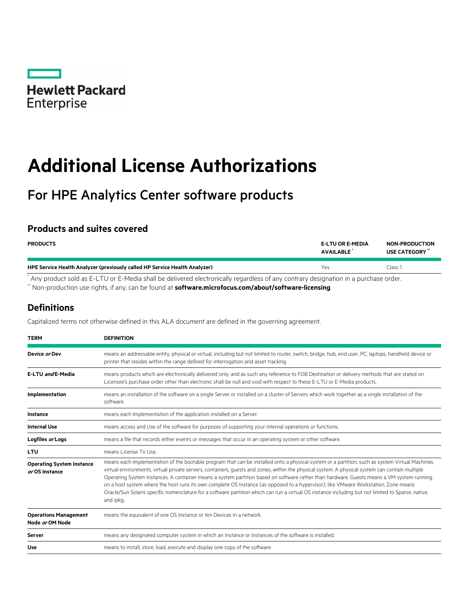

# **Additional License Authorizations**

# For HPE Analytics Center software products

## **Products and suites covered**

| <b>PRODUCTS</b>                                                            | <b>E-LTU OR E-MEDIA</b><br><b>AVAILABLE</b> | <b>NON-PRODUCTION</b><br>USE CATEGORY" |
|----------------------------------------------------------------------------|---------------------------------------------|----------------------------------------|
| HPE Service Health Analyzer (previously called HP Service Health Analyzer) | Yes                                         | Class 1                                |
|                                                                            |                                             |                                        |

Any product sold as E-LTU or E-Media shall be delivered electronically regardless of any contrary designation in a purchase order.

\*\* Non-production use rights, if any, can be found at **[software.microfocus.com/about/software-licensing](https://software.microfocus.com/about/software-licensing)**.

# **Definitions**

Capitalized terms not otherwise defined in this ALA document are defined in the governing agreement.

| <b>TERM</b>                                        | <b>DEFINITION</b>                                                                                                                                                                                                                                                                                                                                                                                                                                                                                                                                                                                                                                                                                                                                         |  |
|----------------------------------------------------|-----------------------------------------------------------------------------------------------------------------------------------------------------------------------------------------------------------------------------------------------------------------------------------------------------------------------------------------------------------------------------------------------------------------------------------------------------------------------------------------------------------------------------------------------------------------------------------------------------------------------------------------------------------------------------------------------------------------------------------------------------------|--|
| Device or Dev                                      | means an addressable entity, physical or virtual, including but not limited to router, switch, bridge, hub, end user, PC, laptops, handheld device or<br>printer that resides within the range defined for interrogation and asset tracking.                                                                                                                                                                                                                                                                                                                                                                                                                                                                                                              |  |
| E-LTU and E-Media                                  | means products which are electronically delivered only, and as such any reference to FOB Destination or delivery methods that are stated on<br>Licensee's purchase order other than electronic shall be null and void with respect to these E-LTU or E-Media products.                                                                                                                                                                                                                                                                                                                                                                                                                                                                                    |  |
| Implementation                                     | means an installation of the software on a single Server or installed on a cluster of Servers which work together as a single installation of the<br>software.                                                                                                                                                                                                                                                                                                                                                                                                                                                                                                                                                                                            |  |
| Instance                                           | means each Implementation of the application installed on a Server.                                                                                                                                                                                                                                                                                                                                                                                                                                                                                                                                                                                                                                                                                       |  |
| <b>Internal Use</b>                                | means access and Use of the software for purposes of supporting your internal operations or functions.                                                                                                                                                                                                                                                                                                                                                                                                                                                                                                                                                                                                                                                    |  |
| Logfiles or Logs                                   | means a file that records either events or messages that occur in an operating system or other software.                                                                                                                                                                                                                                                                                                                                                                                                                                                                                                                                                                                                                                                  |  |
| <b>LTU</b>                                         | means License To Use.                                                                                                                                                                                                                                                                                                                                                                                                                                                                                                                                                                                                                                                                                                                                     |  |
| <b>Operating System Instance</b><br>or OS Instance | means each implementation of the bootable program that can be installed onto a physical system or a partition, such as system Virtual Machines,<br>virtual environments, virtual private servers, containers, quests and zones, within the physical system. A physical system can contain multiple<br>Operating System Instances. A container means a system partition based on software rather than hardware. Guests means a VM system running<br>on a host system where the host runs its own complete OS Instance (as opposed to a hypervisor), like VMware Workstation. Zone means<br>Oracle/Sun Solaris specific nomenclature for a software partition which can run a virtual OS instance including but not limited to Sparse, native,<br>and ipkg. |  |
| <b>Operations Management</b><br>Node or OM Node    | means the equivalent of one OS Instance or ten Devices in a network.                                                                                                                                                                                                                                                                                                                                                                                                                                                                                                                                                                                                                                                                                      |  |
| <b>Server</b>                                      | means any designated computer system in which an Instance or Instances of the software is installed.                                                                                                                                                                                                                                                                                                                                                                                                                                                                                                                                                                                                                                                      |  |
| <b>Use</b>                                         | means to install, store, load, execute and display one copy of the software.                                                                                                                                                                                                                                                                                                                                                                                                                                                                                                                                                                                                                                                                              |  |